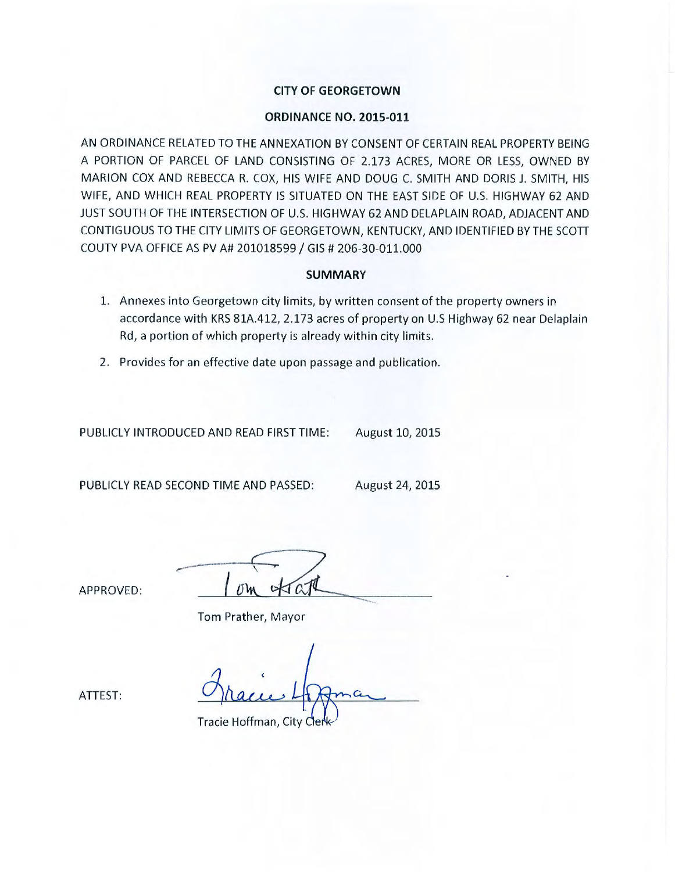# **CITY OF GEORGETOWN**

## **ORDINANCE NO. 2015-011**

AN ORDINANCE RELATED TO THE ANNEXATION BY CONSENT OF CERTAIN REAL PROPERTY BEING A PORTION OF PARCEL OF LAND CONSISTING OF 2.173 ACRES, MORE OR LESS, OWNED BY MARION COX AND REBECCA R. COX, HIS WIFE AND DOUG C. SMITH AND DORIS J. SMITH, HIS WIFE, AND WHICH REAL PROPERTY IS SITUATED ON THE EAST SIDE OF U.S. HIGHWAY 62 AND JUST SOUTH OF THE INTERSECTION OF U.S. HIGHWAY 62 AND DELAPLAIN ROAD, ADJACENT AND CONTIGUOUS TO THE CITY LIMITS OF GEORGETOWN, KENTUCKY, AND IDENTIFIED BY THE SCOTT COUTY PVA OFFICE AS PV A# 201018599 / GIS # 206-30-011.000

## **SUMMARY**

- 1. Annexes into Georgetown city limits, by written consent of the property owners in accordance with KRS 81A.412, 2.173 acres of property on U.S Highway 62 near Delaplain Rd, a portion of which property is already within city limits.
- 2. Provides for an effective date upon passage and publication.

PUBLICLY INTRODUCED AND READ FIRST TIME: August 10, 2015

PUBLICLY READ SECOND TIME AND PASSED: August 24, 2015

Tom Prather, Mayor

APPROVED:

Tracie Hoffman, City

ATTEST: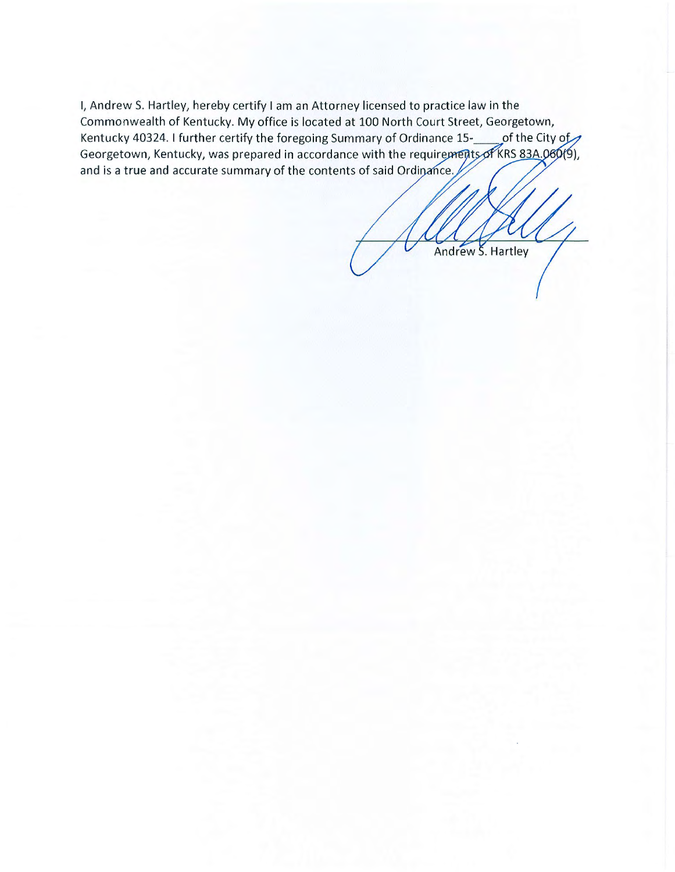I, Andrew S. Hartley, hereby certify I am an Attorney licensed to practice law in the Commonwealth of Kentucky. My office is located at 100 North Court Street, Georgetown, Kentucky 40324. I further certify the foregoing Summary of Ordinance 15-<br>
of the City of Georgetown, Kentucky, was prepared in accordance with the requirements of KRS 83A.060(9), and is a true and accurate summary of the contents of said Ordinance.

Andrew S. Hartley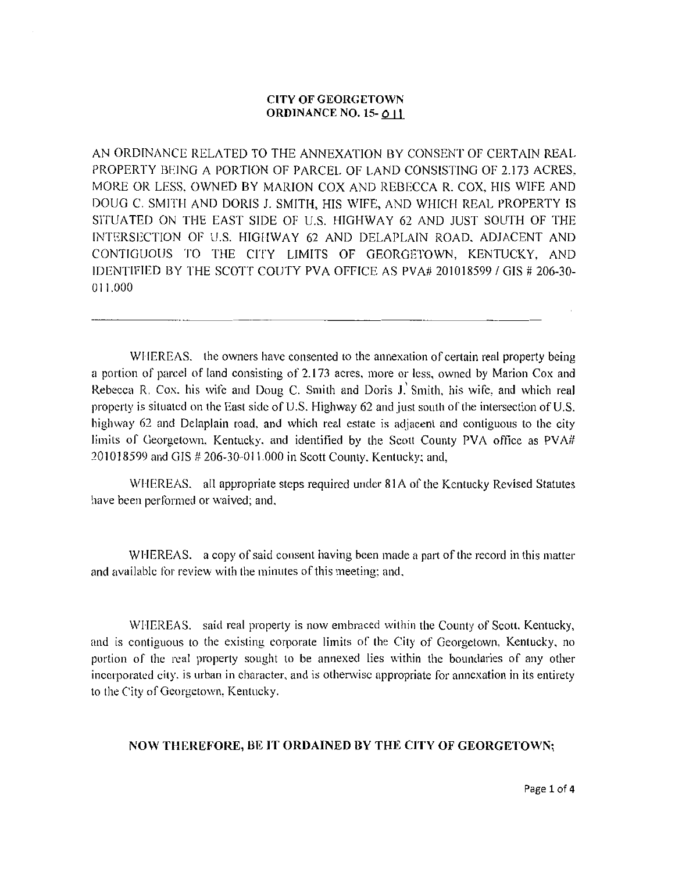### CITY OF GEORGETOWN ORDINANCE NO. 15- 0 11

AN ORDINANCE RELATED TO THE ANNEXATION BY CONSENT OF CERTAIN REAL PROPERTY BEING A PORTION OF PARCEL OF LAND CONSISTING OF 2.I73 ACRES. MORE OR LESS, OWNED BY MARION COX AND REBECCA R. COX. HIS WIFE AND DOUG C. SMITH AND DORIS J. SMITH, HIS WIFE, AND WHICH REAL PROPERTY IS SITUATED ON THE EAST SIDE OF U.S. HIGHWAY 62 AND JUST SOUTH OF THE INTERSECTION OF U.S. HIGIIWAY 62 AND DELAPLAIN ROAD. ADJACENT AND CONTIGUOUS TO THE CITY LIMITS OF GEORGETOWN. KENTUCKY, AND IDENTIFIED BY THE SCOTT COUTY PVA OFFICE AS PVA# 201018599 I GIS # 206-30- 011.000

WHEREAS. the owners have consented to the annexation of certain real property being a portion of parcel of land consisting of 2.173 acres. more or less, owned by Marion Cox and Rebecca R. Cox. his wife and Doug C. Smith and Doris J. Smith, his wife, and which real property is situated on the East side of U.S. Highway 62 and just south of the intersection of U.S. highway 62 and Delaplain road. and which real estate is adjacent and contiguous to the city limits of Georgetown. Kentucky, and identified by the Scott County PVA office as PVA# 20l018599 and GIS # 206-30-01 1.000 in Scott County. Kentucky: and,

WHEREAS. all appropriate steps required under 81A of the Kentucky Revised Statutes have been performed or waived; and.

WHEREAS. a copy of said consent having been made a part of the record in this matter and available for review with the minutes of this meeting: and.

WHEREAS. said real property is now embraced within the County of Scott, Kentucky, and is contiguous to the existing corporate limits or the City of Georgetown, Kentucky, no portion of the real property sought to be annexed lies within the boundaries of any other incorporated city, is urban in character, and is otherwise appropriate for annexation in its entirety to the City of Georgetown, Kentucky.

## NOW THEREFORE, BE IT ORDAINED BY THE CITY OF GEORGETOWN;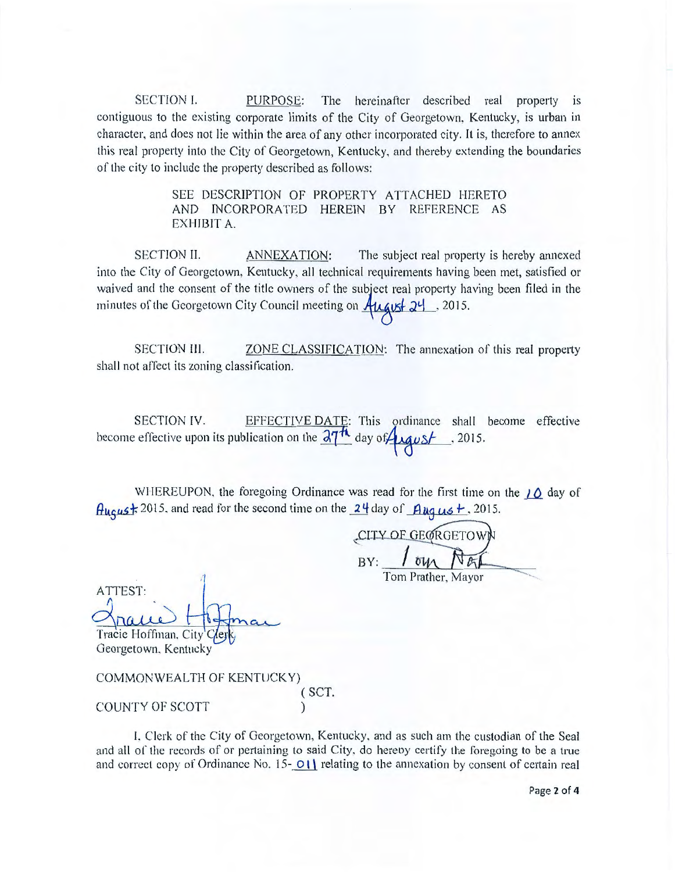SECTION I. PURPOSE: The hereinafter described real property is contiguous to the existing corporate limits of the City of Georgetown. Kentucky, is urban in character, and does not lie within the area of any other incorporated city. It is, therefore to annex this real property into the City of Georgetown, Kentucky, and thereby extending the boundaries of the city to include the property described as follows:

> SEE DESCRIPTION OF PROPERTY ATTACHED HERETO AND INCORPORATED HEREIN BY REFERENCE AS EXHIBIT A.

SECTION II. ANNEXATION: The subject real property is hereby annexed into the City of Georgetown, Kentucky, all technical requirements having been met, satisfied or waived and the consent of the title owners of the subject real property having been filed in the minutes of the Georgetown City Council meeting on  $\frac{\text{Argust}}{24}$ , 2015.

SECTION III. **ZONE CLASSIFICATION:** The annexation of this real property shall not affect its zoning classification.

SECTION IV. EFFECTIVE DATE: This ordinance shall become effective become effective upon its publication on the  $\frac{\partial \mathcal{T}^{\mathcal{H}}}{\partial \alpha}$  day of  $\mathcal{L}$   $\alpha \mu \Delta t$ . 2015.

WHEREUPON, the foregoing Ordinance was read for the first time on the  $10$  day of 2015, and read for the second time on the  $\frac{24}{4}$  day of  $\frac{94}{4}$  and  $\frac{12}{4}$ . 2015.<br>
CITY OF GEORGETOWN

 $BY:$ Tom Prather, Mayor

ATTEST:  $\Lambda$ Tracie Hoffman, City

Georgetown. Kentucky

COMMONWEALTH OF KENTUCKY) ( SCT. COUNTY OF SCOTT )

I. Clerk of the City of Georgetown, Kentucky. and as such am the custodian of the Seal and all of the records of or pertaining to said City, do hereby certify the foregoing to be a true and correct copy of Ordinance No. 15- $\overline{O(1)}$  relating to the annexation by consent of certain real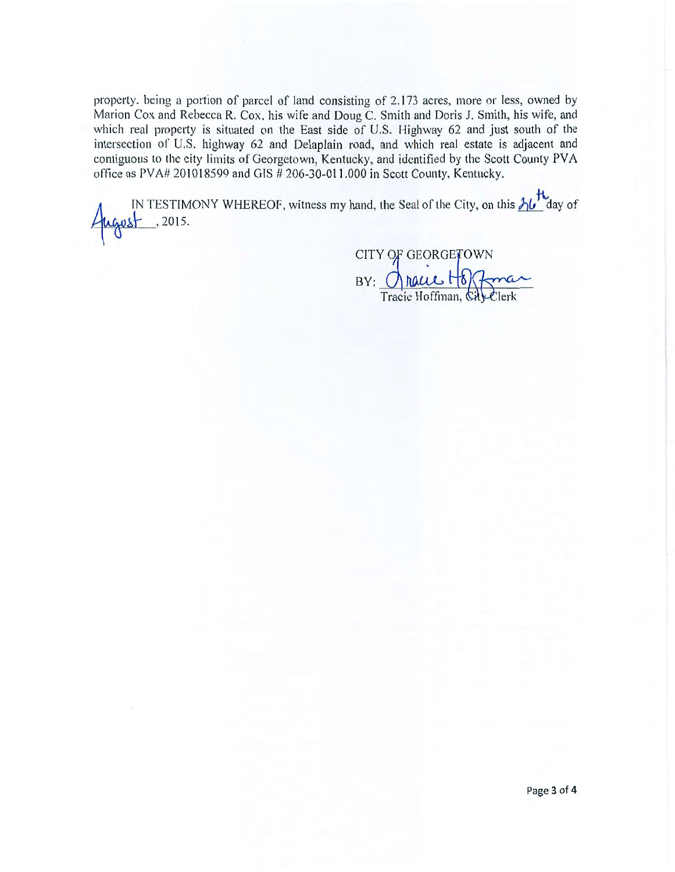property. being a portion of parcel of land consisting of 2. 173 acres, more or less, owned by Marion Cox and Rebecca R. Cox. his wife and Doug C. Smith and Doris J. Smith, his wife, and which real property is situated on the East side of U.S. Highway 62 and just south of the intersection of U.S. highway 62 and Delaplain road, and which real estate is adjacent and contiguous to the city limits of Georgetown, Kentucky, and identified by the Scott County PY A office as PV A# 20I018599 and GIS # 206-30-011.000 in Scott County, Kentucky.

IN TESTIMONY WHEREOF, witness my hand, the Seal of the City, on this  $\frac{\hbar}{\hbar}$  day of , 2015.

CITY OF GEORGETOWN<br>BY: naue Hoffman, City Clerk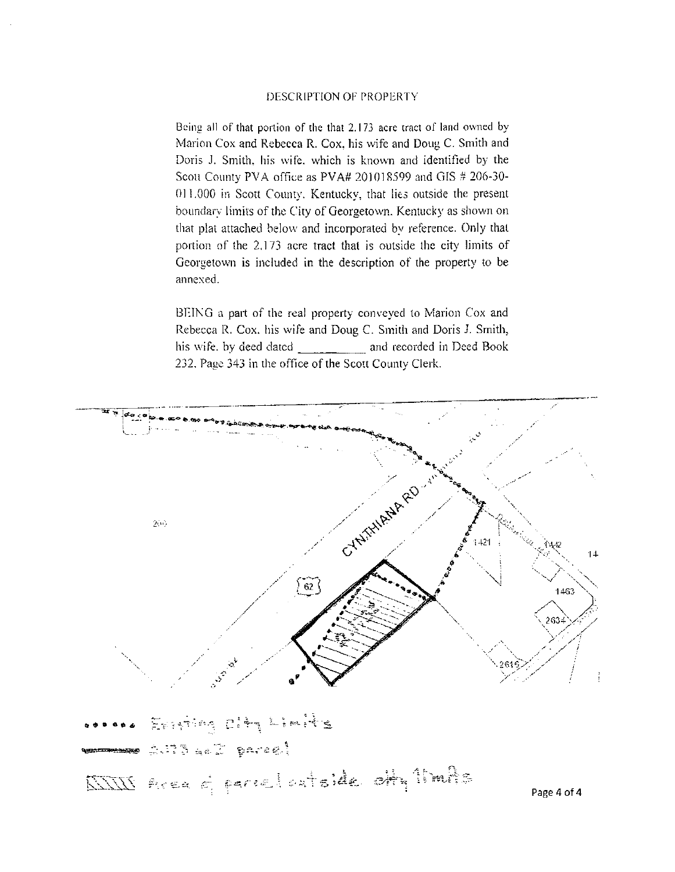#### DESCRIPTION OF PROPERTY

Being all of that portion of the that 2.173 acre tract of land owned by Marion Cox and Rebecca R. Cox, his wife and Doug C. Smith and Doris J. Smith, his wife, which is known and identified by the Scott County PVA office as PVA# 201018599 and GIS # 206-30-011.000 in Scott County. Kentucky, that lies outside the present boundary limits of the City of Georgetown. Kentucky as shown on that plat attached below and incorporated by reference. Only that portion of the 2.173 acre tract that is outside the city limits of Georgetown is included in the description of the property to be annexed.

BEING a part of the real property conveyed to Marion Cox and Rebecca R. Cox. his wife and Doug C. Smith and Doris J. Smith, his wife. by deed dated \_\_\_\_\_\_\_\_ and recorded in Deed Book 232. Page 343 in the office of the Scott County Clerk.



Page 4 of 4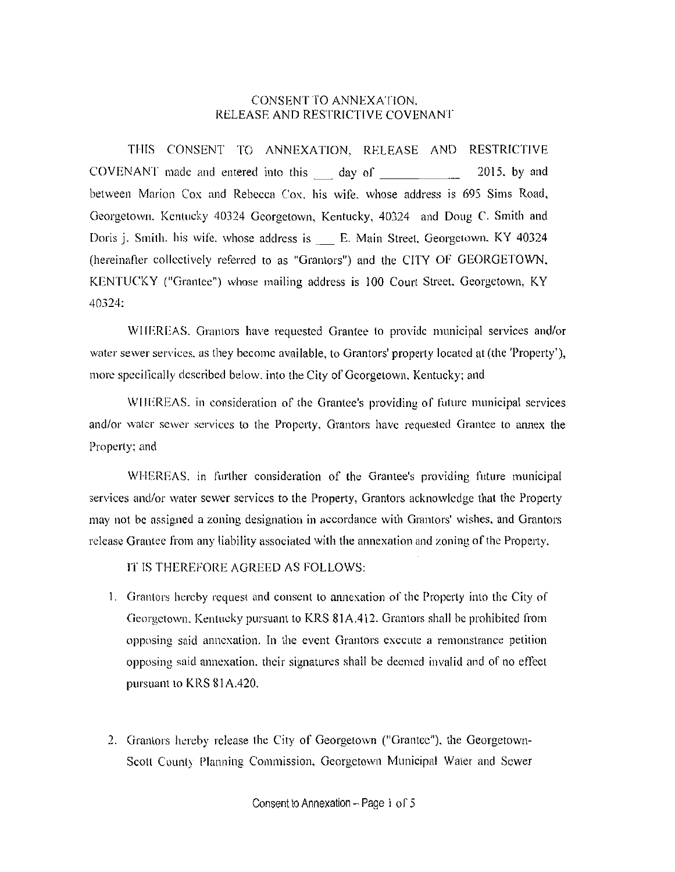## CONSENT TO ANNEXATION. RELEASE AND RESTRICTIVE COVENANT

THIS CONSENT TO ANNEXATION, RELEASE AND RESTRICTIVE COVENANT made and entered into this day of 2015, by and between Marion Cox and Rebecca Cox. his wife. whose address is 695 Sims Road, Georgetown. Kentucky 40324 Georgetown. Kentucky, 40324 and Doug C. Smith and Doris j. Smith. his wife. whose address is \_ E. Main Street. Georgetown. KY 40324 (hereinafter collectively referred to as "Grantors") and the CITY OF GEORGETOWN. KENTUCKY ("Grantee") whose mailing address is 100 Court Street. Georgetown, KY 40324:

WIIEREAS. Grantors have requested Grantee to provide municipal services and/or water sewer services. as they become available, to Grantors' property located at (the 'Property'), more specifically described below, into the City of Georgetown, Kentucky; and

WHEREAS. in consideration of the Grantee's providing of future municipal services and/or water sewer services to the Property, Grantors have requested Grantee to annex the Property: and

WHEREAS. in further consideration of the Grantee's providing future municipal services and/or water sewer services to the Property, Grantors acknowledge that the Property may not be assigned a zoning designation in accordance with Grantors' wishes. and Grantors release Grantee from any liability associated with the annexation and zoning of the Property.

IT IS THEREFORE AGREED AS FOLLOWS:

- I. Grantors hereby request and consent to annexation of the Property into the City of Georgetown. Kentucky pursuant to KRS 81A.412. Grantors shall be prohibited from opposing said annexation. In the event Grantors execute a remonstrance petition opposing said annexation. their signatures shall be deemed invalid and of no effect pursuant to KRS 81A.420.
- 2. Grantors hereby release the City of Georgetown ("Grantee"). the Georgetown-Scott County Planning Commission. Georgetown Municipal Water and Sewer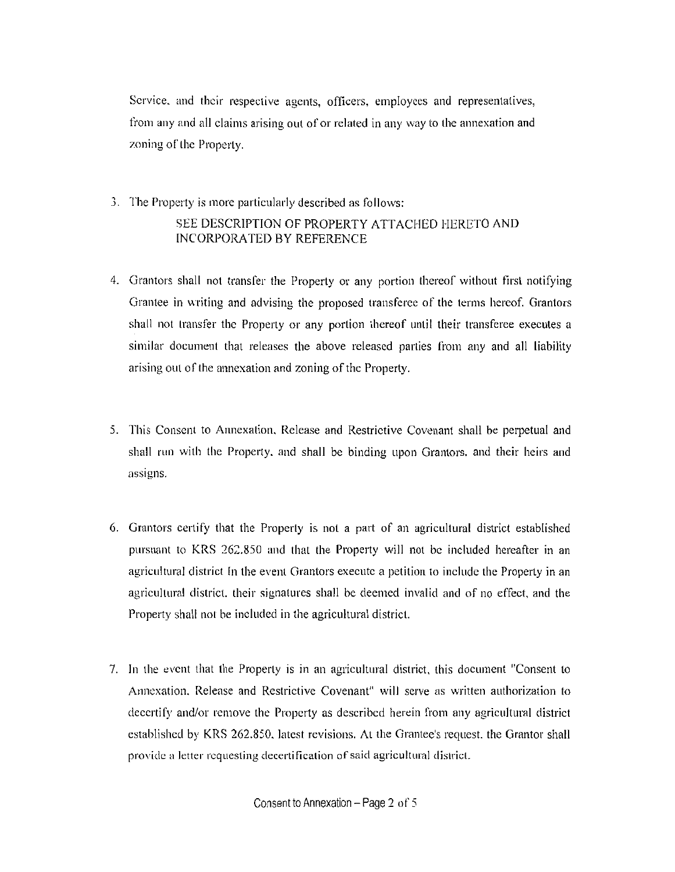Service. and their respective agents, officers, employees and representatives, from any and all claims arising out of or related in any way to the annexation and zoning of the Property.

- 3. The Properly is more particularly described as follows: SEE DESCRIPTION OF PROPERTY ATTACHED HERETO AND INCORPORATED BY REFERENCE
- 4. Grantors shall not transfer the Property or any portion thereof without first notifying Grantee in writing and advising the proposed transferee of the terms hereof. Grantors shall not transfer the Property or any portion thereof until their transferee executes a similar document that releases the above released parties from any and all liability arising out of the annexation and zoning of the Property.
- 5. This Consent to Annexation. Release and Restrictive Covenant shall be perpetual and shall run with the Property. and shall be binding upon Granlors. and their heirs and **assigns.**
- 6. Grantors certify that the Properly is nol a part of an agricultural district established pursuant to KRS 262.850 and that the Property will not be included hereafter in an agricultural district In the event Grantors execute a petition to include the Property in an agricultural district. their signatures shall be deemed invalid and of no effect, and the Property shall not be included in the agricultural district.
- 7. In the event that the Property is in an agricultural district, this document "Consent to Annexation. Release and Restrictive Covenant" will serve as written authorization to decertify and/or remove the Property as described herein from any agricultural district established by KRS 262.850. latest revisions. At the Grantee's request. the Grantor shall **provide a letter requesting decertification of said agricultural district.**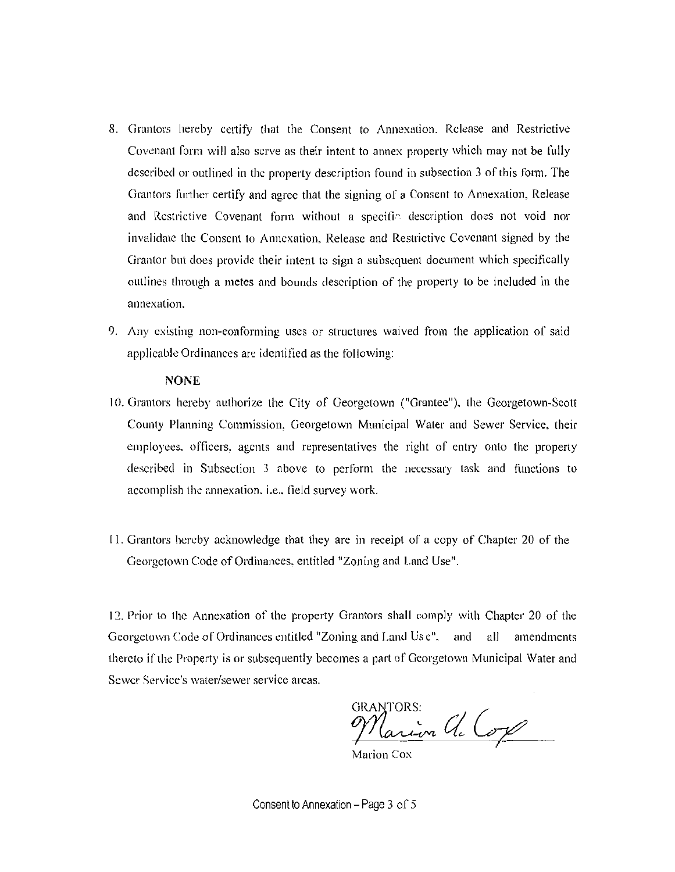- 8. Grantors hereby certify that the Consent to Annexation. Release and Restrictive Covenant form will also serve as their intent to annex property which may not be fully described or outlined in the property description found in subsection 3 of this form. The Grantors further certify and agree that the signing of a Consent to Annexation, Release and Restrictive Covenant form without a specific description does not void nor invalidate the Consent to Annexation. Release and Restrictive Covenant signed by the Grantor but does provide their intent to sign a subsequent document which specifically outlines through a metes and bounds description of the property to be included in the **annexation.**
- 9. Any existing non-conforming uses or structures waived from the application of said applicable Ordinances are identified as the following:

### **NONE**

- 10. Grantors hereby authorize the City of Georgetown ("Grantee"), the Georgetown-Scott County Planning Commission. Georgetown Municipal Water and Sewer Service, their employees. officers, agents and representatives the right of entry onto the property described in Subsection 3 above to perform the necessary task and functions to accomplish the annexation, i.e., field survey work.
- I I. Grantors hereby acknowledge that they are in receipt of a copy of Chapter 20 of the Georgetown Code of Ordinanees, entitled "Zoning and Land Use".

12. Prior to the Annexation of the property Grantors shall comply with Chapter 20 of the Georgetown Code of Ordinances entitled "Zoning and Land Us c". and all amendments thereto if the Property is or subsequently becomes a part of Georgetown Municipal Water and Sewer Service's water/sewer service areas.

GRANTORS:<br>Marion Cla Cox

Consent to Annexation - Page  $3$  of  $5$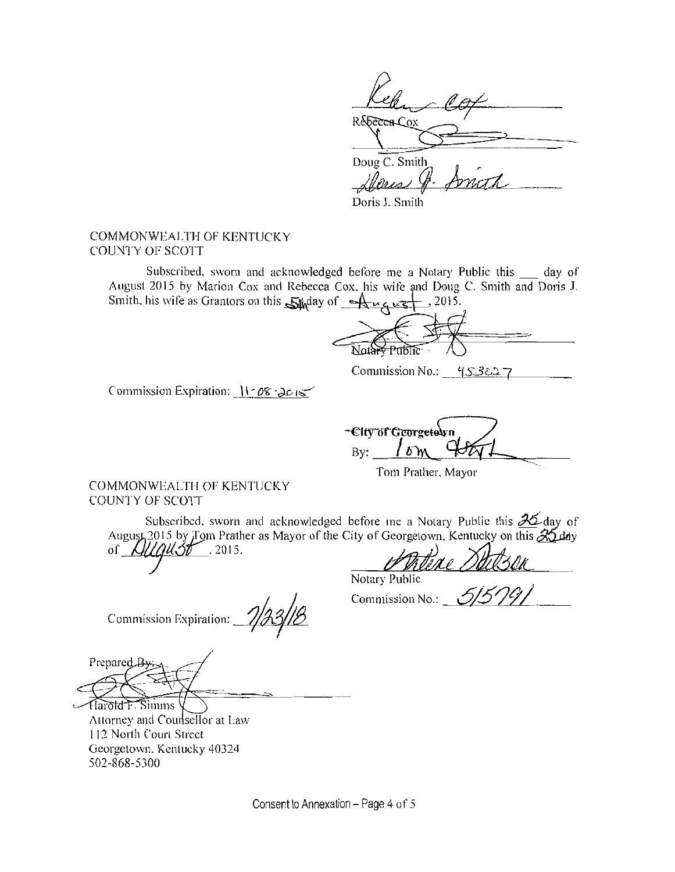Réferencox

Doug C. Smith  $\ell$ // $\ell$ and

Doris J. Smith

## COMMONWEALTH OF KENTUCKY COUNTY OF SCOTT

Subscribed, sworn and acknowledged before me a Notary Public this \_ day of August 2015 by Marion Cox and Rebecca Cox, his wife and Doug C. Smith and Doris J. Smith. his wife as Grantors on this  $\frac{1}{2}$  and  $\frac{1}{2}$  . 2015.

 $\frac{1}{\frac{N \cdot \frac{1}{N} + \frac{1}{N \cdot \frac{1}{N} + \cdots + 1}{N \cdot \frac{1}{N} + \cdots + 1}{N \cdot \frac{1}{N} + \cdots + 1}}$ 

Commission No.:  $(5.3827)$ 

Commission Expiration: I I - *<sup>O</sup>'?:* • d.c; *1<* 

-City of Georgetolyn By: B

Tom Prather. Mayor

COMMONWEALTH OF KENTUCKY COUNTY OF SCOTT

Subscribed, sworn and acknowledged before me a Notary Public this  $\mathcal{A}$  day of August 2015 by Tom Prather as Mayor of the City of Georgetown. Kentucky on this  $\mathcal{X}_{\text{adv}}$  $\frac{1}{4}$   $\frac{1}{10}$   $\frac{1}{10}$   $\frac{1}{10}$   $\frac{1}{10}$   $\frac{1}{10}$   $\frac{1}{10}$   $\frac{1}{10}$   $\frac{1}{10}$   $\frac{1}{10}$   $\frac{1}{10}$   $\frac{1}{10}$   $\frac{1}{10}$   $\frac{1}{10}$   $\frac{1}{10}$   $\frac{1}{10}$   $\frac{1}{10}$   $\frac{1}{10}$   $\frac{1}{10}$   $\frac{1}{10}$   $\$ οſ

l/Jl1?)Ae *2M\_.j\_d/(\_ \_\_* Notary Public

Commission Expiration:~

Commission No.: *\_* 

Prepared

Harold F. Simms Attorney and Counsellor at Law I 12 North Court Street Georgetown. Kentucky 40324 502-868-5300